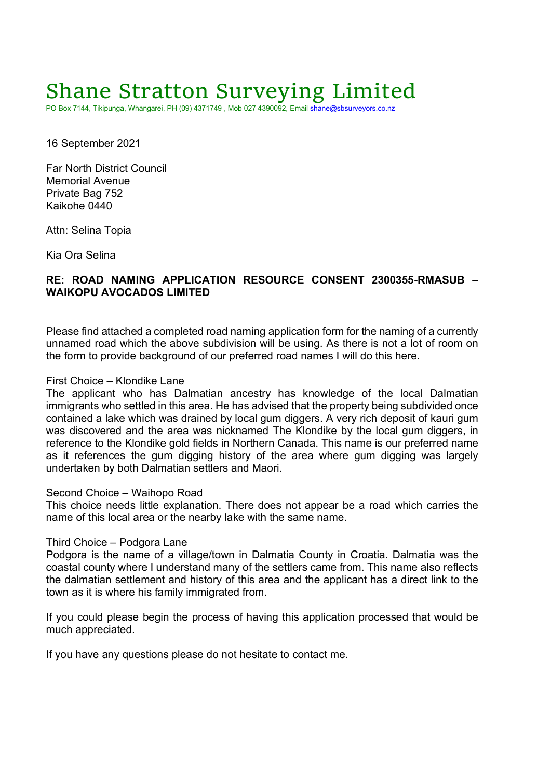# Shane Stratton Surveying Limited

PO Box 7144, Tikipunga, Whangarei, PH (09) 4371749 , Mob 027 4390092, Email shane@sbsurveyors.co.nz

16 September 2021

Far North District Council Memorial Avenue Private Bag 752 Kaikohe 0440

Attn: Selina Topia

Kia Ora Selina

## RE: ROAD NAMING APPLICATION RESOURCE CONSENT 2300355-RMASUB – WAIKOPU AVOCADOS LIMITED

Please find attached a completed road naming application form for the naming of a currently unnamed road which the above subdivision will be using. As there is not a lot of room on the form to provide background of our preferred road names I will do this here.

## First Choice – Klondike Lane

The applicant who has Dalmatian ancestry has knowledge of the local Dalmatian immigrants who settled in this area. He has advised that the property being subdivided once contained a lake which was drained by local gum diggers. A very rich deposit of kauri gum was discovered and the area was nicknamed The Klondike by the local gum diggers, in reference to the Klondike gold fields in Northern Canada. This name is our preferred name as it references the gum digging history of the area where gum digging was largely undertaken by both Dalmatian settlers and Maori.

### Second Choice – Waihopo Road

This choice needs little explanation. There does not appear be a road which carries the name of this local area or the nearby lake with the same name.

### Third Choice – Podgora Lane

Podgora is the name of a village/town in Dalmatia County in Croatia. Dalmatia was the coastal county where I understand many of the settlers came from. This name also reflects the dalmatian settlement and history of this area and the applicant has a direct link to the town as it is where his family immigrated from.

If you could please begin the process of having this application processed that would be much appreciated.

If you have any questions please do not hesitate to contact me.